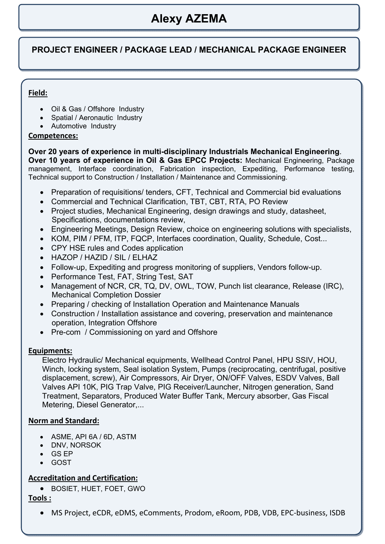# **Alexy AZEMA**

### **PROJECT ENGINEER / PACKAGE LEAD / MECHANICAL PACKAGE ENGINEER**

#### **Field:**

- Oil & Gas / Offshore Industry
- Spatial / Aeronautic Industry
- Automotive Industry

#### **Competences:**

**Over 20 years of experience in multi-disciplinary Industrials Mechanical Engineering**. **Over 10 years of experience in Oil & Gas EPCC Projects:** Mechanical Engineering, Package management, Interface coordination, Fabrication inspection, Expediting, Performance testing, Technical support to Construction / Installation / Maintenance and Commissioning.

- Preparation of requisitions/ tenders, CFT, Technical and Commercial bid evaluations
- Commercial and Technical Clarification, TBT, CBT, RTA, PO Review
- Project studies, Mechanical Engineering, design drawings and study, datasheet, Specifications, documentations review,
- Engineering Meetings, Design Review, choice on engineering solutions with specialists,
- KOM, PIM / PFM, ITP, FQCP, Interfaces coordination, Quality, Schedule, Cost...
- CPY HSE rules and Codes application
- HAZOP / HAZID / SIL / ELHAZ
- Follow-up, Expediting and progress monitoring of suppliers, Vendors follow-up.
- Performance Test, FAT, String Test, SAT
- Management of NCR, CR, TQ, DV, OWL, TOW, Punch list clearance, Release (IRC), Mechanical Completion Dossier
- Preparing / checking of Installation Operation and Maintenance Manuals
- Construction / Installation assistance and covering, preservation and maintenance operation, Integration Offshore
- Pre-com / Commissioning on yard and Offshore

#### **Equipments:**

Electro Hydraulic/ Mechanical equipments, Wellhead Control Panel, HPU SSIV, HOU, Winch, locking system, Seal isolation System, Pumps (reciprocating, centrifugal, positive displacement, screw), Air Compressors, Air Dryer, ON/OFF Valves, ESDV Valves, Ball Valves API 10K, PIG Trap Valve, PIG Receiver/Launcher, Nitrogen generation, Sand Treatment, Separators, Produced Water Buffer Tank, Mercury absorber, Gas Fiscal Metering, Diesel Generator,...

#### **Norm and Standard:**

- ASME, API 6A / 6D, ASTM
- DNV, NORSOK
- GS EP
- GOST

#### **Accreditation and Certification:**

BOSIET, HUET, FOET, GWO

#### **Tools :**

MS Project, eCDR, eDMS, eComments, Prodom, eRoom, PDB, VDB, EPC‐business, ISDB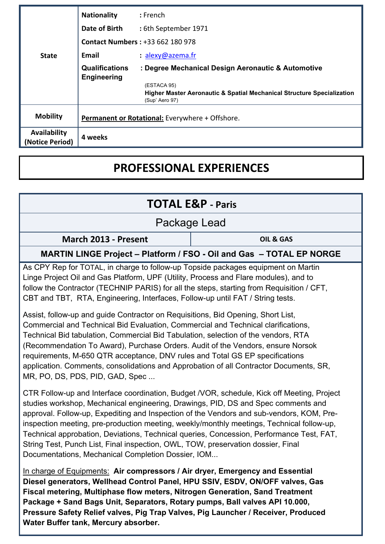|                                        | <b>Nationality</b>                              | $:$ French                                                                               |  |
|----------------------------------------|-------------------------------------------------|------------------------------------------------------------------------------------------|--|
|                                        | Date of Birth                                   | : 6th September 1971                                                                     |  |
|                                        | <b>Contact Numbers: +33 662 180 978</b>         |                                                                                          |  |
| <b>State</b>                           | Email                                           | $: a$ lexy@azema.fr                                                                      |  |
|                                        | <b>Qualifications</b>                           | : Degree Mechanical Design Aeronautic & Automotive                                       |  |
|                                        | <b>Engineering</b>                              | (ESTACA 95)                                                                              |  |
|                                        |                                                 | Higher Master Aeronautic & Spatial Mechanical Structure Specialization<br>(Sup' Aero 97) |  |
| <b>Mobility</b>                        | Permanent or Rotational: Everywhere + Offshore. |                                                                                          |  |
| <b>Availability</b><br>(Notice Period) | 4 weeks                                         |                                                                                          |  |

# **PROFESSIONAL EXPERIENCES**

| <b>TOTAL E&amp;P - Paris</b>                                                                                                                                                                                                                                                                                                                                                                                                                                                                                                                                                                                                                                                                                                                                                                                                                                                                                            |           |  |  |  |
|-------------------------------------------------------------------------------------------------------------------------------------------------------------------------------------------------------------------------------------------------------------------------------------------------------------------------------------------------------------------------------------------------------------------------------------------------------------------------------------------------------------------------------------------------------------------------------------------------------------------------------------------------------------------------------------------------------------------------------------------------------------------------------------------------------------------------------------------------------------------------------------------------------------------------|-----------|--|--|--|
| Package Lead                                                                                                                                                                                                                                                                                                                                                                                                                                                                                                                                                                                                                                                                                                                                                                                                                                                                                                            |           |  |  |  |
| March 2013 - Present                                                                                                                                                                                                                                                                                                                                                                                                                                                                                                                                                                                                                                                                                                                                                                                                                                                                                                    | OIL & GAS |  |  |  |
| MARTIN LINGE Project - Platform / FSO - Oil and Gas - TOTAL EP NORGE                                                                                                                                                                                                                                                                                                                                                                                                                                                                                                                                                                                                                                                                                                                                                                                                                                                    |           |  |  |  |
| As CPY Rep for TOTAL, in charge to follow-up Topside packages equipment on Martin<br>Linge Project Oil and Gas Platform, UPF (Utility, Process and Flare modules), and to<br>follow the Contractor (TECHNIP PARIS) for all the steps, starting from Requisition / CFT,<br>CBT and TBT, RTA, Engineering, Interfaces, Follow-up until FAT / String tests.<br>Assist, follow-up and guide Contractor on Requisitions, Bid Opening, Short List,<br>Commercial and Technical Bid Evaluation, Commercial and Technical clarifications,<br>Technical Bid tabulation, Commercial Bid Tabulation, selection of the vendors, RTA<br>(Recommendation To Award), Purchase Orders. Audit of the Vendors, ensure Norsok<br>requirements, M-650 QTR acceptance, DNV rules and Total GS EP specifications<br>application. Comments, consolidations and Approbation of all Contractor Documents, SR,<br>MR, PO, DS, PDS, PID, GAD, Spec |           |  |  |  |
| CTR Follow-up and Interface coordination, Budget /VOR, schedule, Kick off Meeting, Project<br>studies workshop, Mechanical engineering, Drawings, PID, DS and Spec comments and<br>approval. Follow-up, Expediting and Inspection of the Vendors and sub-vendors, KOM, Pre-<br>inspection meeting, pre-production meeting, weekly/monthly meetings, Technical follow-up,<br>Technical approbation, Deviations, Technical queries, Concession, Performance Test, FAT,<br>String Test, Punch List, Final inspection, OWL, TOW, preservation dossier, Final                                                                                                                                                                                                                                                                                                                                                                |           |  |  |  |

Documentations, Mechanical Completion Dossier, IOM...

In charge of Equipments: **Air compressors / Air dryer, Emergency and Essential Diesel generators, Wellhead Control Panel, HPU SSIV, ESDV, ON/OFF valves, Gas Fiscal metering, Multiphase flow meters, Nitrogen Generation, Sand Treatment Package + Sand Bags Unit, Separators, Rotary pumps, Ball valves API 10.000, Pressure Safety Relief valves, Pig Trap Valves, Pig Launcher / Receiver, Produced Water Buffer tank, Mercury absorber.**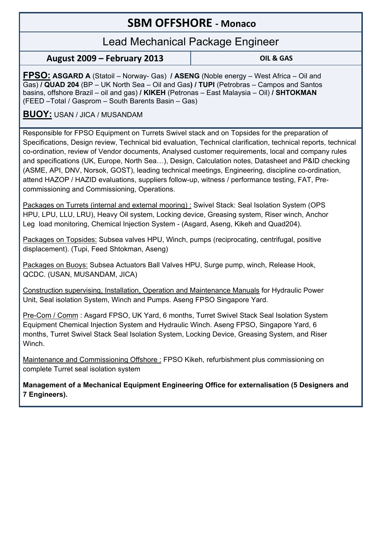## **SBM OFFSHORE ‐ Monaco**

## Lead Mechanical Package Engineer

**August 2009 – February 2013 OIL & GAS**

**FPSO: ASGARD A** (Statoil – Norway- Gas) **/ ASENG** (Noble energy – West Africa – Oil and Gas) **/ QUAD 204** (BP – UK North Sea – Oil and Gas**) / TUPI** (Petrobras – Campos and Santos basins, offshore Brazil – oil and gas) **/ KIKEH** (Petronas – East Malaysia – Oil) **/ SHTOKMAN**  (FEED –Total / Gasprom – South Barents Basin – Gas)

#### **BUOY:** USAN / JICA / MUSANDAM

Responsible for FPSO Equipment on Turrets Swivel stack and on Topsides for the preparation of Specifications, Design review, Technical bid evaluation, Technical clarification, technical reports, technical co-ordination, review of Vendor documents, Analysed customer requirements, local and company rules and specifications (UK, Europe, North Sea…), Design, Calculation notes, Datasheet and P&ID checking (ASME, API, DNV, Norsok, GOST), leading technical meetings, Engineering, discipline co-ordination, attend HAZOP / HAZID evaluations, suppliers follow-up, witness / performance testing, FAT, Precommissioning and Commissioning, Operations.

Packages on Turrets (internal and external mooring) : Swivel Stack: Seal Isolation System (OPS HPU, LPU, LLU, LRU), Heavy Oil system, Locking device, Greasing system, Riser winch, Anchor Leg load monitoring, Chemical Injection System - (Asgard, Aseng, Kikeh and Quad204).

Packages on Topsides: Subsea valves HPU, Winch, pumps (reciprocating, centrifugal, positive displacement). (Tupi, Feed Shtokman, Aseng)

Packages on Buoys: Subsea Actuators Ball Valves HPU, Surge pump, winch, Release Hook, QCDC. (USAN, MUSANDAM, JICA)

Construction supervising, Installation, Operation and Maintenance Manuals for Hydraulic Power Unit, Seal isolation System, Winch and Pumps. Aseng FPSO Singapore Yard.

Pre-Com / Comm : Asgard FPSO, UK Yard, 6 months, Turret Swivel Stack Seal Isolation System Equipment Chemical Injection System and Hydraulic Winch. Aseng FPSO, Singapore Yard, 6 months, Turret Swivel Stack Seal Isolation System, Locking Device, Greasing System, and Riser Winch.

Maintenance and Commissioning Offshore : FPSO Kikeh, refurbishment plus commissioning on complete Turret seal isolation system

**Management of a Mechanical Equipment Engineering Office for externalisation (5 Designers and 7 Engineers).**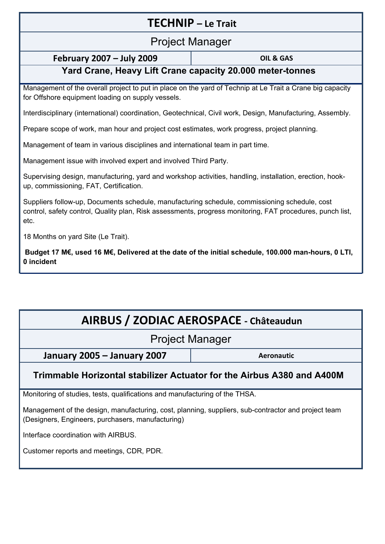## **TECHNIP – Le Trait**

## Project Manager

#### **February 2007 – July 2009 OIL & GAS**

### **Yard Crane, Heavy Lift Crane capacity 20.000 meter-tonnes**

Management of the overall project to put in place on the yard of Technip at Le Trait a Crane big capacity for Offshore equipment loading on supply vessels.

Interdisciplinary (international) coordination, Geotechnical, Civil work, Design, Manufacturing, Assembly.

Prepare scope of work, man hour and project cost estimates, work progress, project planning.

Management of team in various disciplines and international team in part time.

Management issue with involved expert and involved Third Party.

Supervising design, manufacturing, yard and workshop activities, handling, installation, erection, hookup, commissioning, FAT, Certification.

Suppliers follow-up, Documents schedule, manufacturing schedule, commissioning schedule, cost control, safety control, Quality plan, Risk assessments, progress monitoring, FAT procedures, punch list, etc.

18 Months on yard Site (Le Trait).

**Budget 17 M€, used 16 M€, Delivered at the date of the initial schedule, 100.000 man-hours, 0 LTI, 0 incident** 

# **AIRBUS / ZODIAC AEROSPACE ‐ Châteaudun**

## Project Manager

**January 2005 – January 2007 Aeronautic**

## **Trimmable Horizontal stabilizer Actuator for the Airbus A380 and A400M**

Monitoring of studies, tests, qualifications and manufacturing of the THSA.

Management of the design, manufacturing, cost, planning, suppliers, sub-contractor and project team (Designers, Engineers, purchasers, manufacturing)

Interface coordination with AIRBUS.

Customer reports and meetings, CDR, PDR.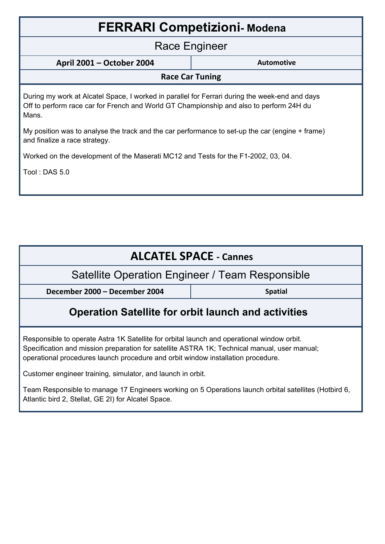| <b>FERRARI Competizioni-Modena</b>                                                                                                                                                                 |                   |  |  |  |
|----------------------------------------------------------------------------------------------------------------------------------------------------------------------------------------------------|-------------------|--|--|--|
| Race Engineer                                                                                                                                                                                      |                   |  |  |  |
| April 2001 - October 2004                                                                                                                                                                          | <b>Automotive</b> |  |  |  |
| <b>Race Car Tuning</b>                                                                                                                                                                             |                   |  |  |  |
| During my work at Alcatel Space, I worked in parallel for Ferrari during the week-end and days<br>Off to perform race car for French and World GT Championship and also to perform 24H du<br>Mans. |                   |  |  |  |
| My position was to analyse the track and the car performance to set-up the car (engine + frame)<br>and finalize a race strategy.                                                                   |                   |  |  |  |
| Worked on the development of the Maserati MC12 and Tests for the F1-2002, 03, 04.                                                                                                                  |                   |  |  |  |
| Tool: DAS 5.0                                                                                                                                                                                      |                   |  |  |  |
|                                                                                                                                                                                                    |                   |  |  |  |

| <b>ALCATEL SPACE - Cannes</b>                                                                                                                                                                                                                                                                                                                 |                |  |  |  |  |
|-----------------------------------------------------------------------------------------------------------------------------------------------------------------------------------------------------------------------------------------------------------------------------------------------------------------------------------------------|----------------|--|--|--|--|
| Satellite Operation Engineer / Team Responsible                                                                                                                                                                                                                                                                                               |                |  |  |  |  |
| December 2000 - December 2004                                                                                                                                                                                                                                                                                                                 | <b>Spatial</b> |  |  |  |  |
| <b>Operation Satellite for orbit launch and activities</b>                                                                                                                                                                                                                                                                                    |                |  |  |  |  |
| Responsible to operate Astra 1K Satellite for orbital launch and operational window orbit.<br>Specification and mission preparation for satellite ASTRA 1K; Technical manual, user manual;<br>operational procedures launch procedure and orbit window installation procedure.<br>Customer engineer training, simulator, and launch in orbit. |                |  |  |  |  |

Team Responsible to manage 17 Engineers working on 5 Operations launch orbital satellites (Hotbird 6, Atlantic bird 2, Stellat, GE 2I) for Alcatel Space.